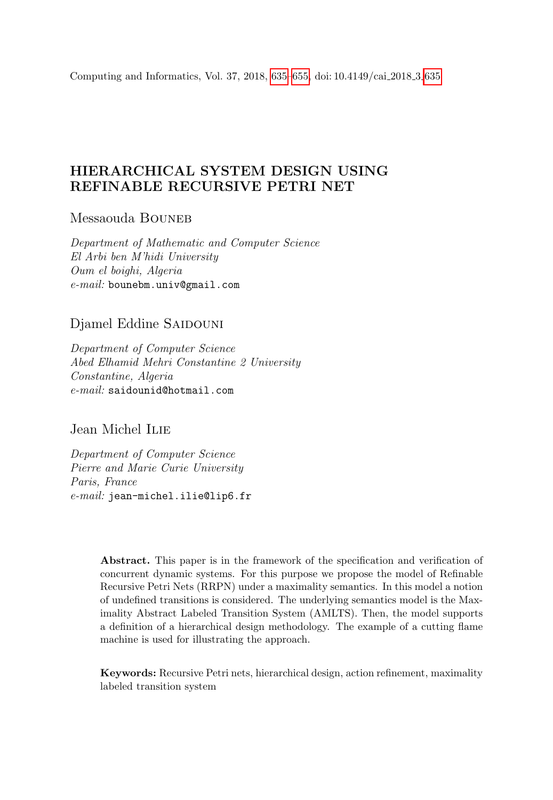<span id="page-0-0"></span>Computing and Informatics, Vol. 37, 2018, [635–](#page-0-0)[655,](#page-18-0) doi: 10.4149/cai 2018 3 [635](#page-0-0)

# HIERARCHICAL SYSTEM DESIGN USING REFINABLE RECURSIVE PETRI NET

Messaouda BOUNEB

Department of Mathematic and Computer Science El Arbi ben M'hidi University Oum el boighi, Algeria e-mail: bounebm.univ@gmail.com

# Djamel Eddine SAIDOUNI

Department of Computer Science Abed Elhamid Mehri Constantine 2 University Constantine, Algeria e-mail: saidounid@hotmail.com

Jean Michel Ilie

Department of Computer Science Pierre and Marie Curie University Paris, France e-mail: jean-michel.ilie@lip6.fr

> Abstract. This paper is in the framework of the specification and verification of concurrent dynamic systems. For this purpose we propose the model of Refinable Recursive Petri Nets (RRPN) under a maximality semantics. In this model a notion of undefined transitions is considered. The underlying semantics model is the Maximality Abstract Labeled Transition System (AMLTS). Then, the model supports a definition of a hierarchical design methodology. The example of a cutting flame machine is used for illustrating the approach.

> Keywords: Recursive Petri nets, hierarchical design, action refinement, maximality labeled transition system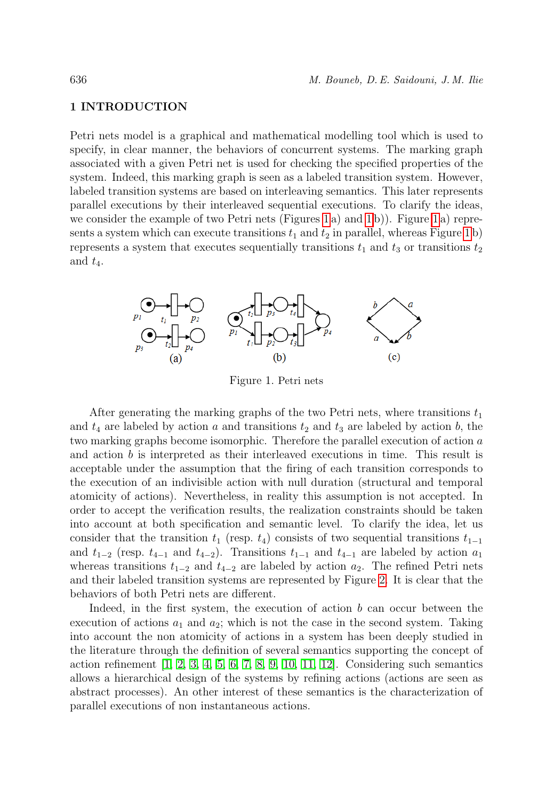### 1 INTRODUCTION

Petri nets model is a graphical and mathematical modelling tool which is used to specify, in clear manner, the behaviors of concurrent systems. The marking graph associated with a given Petri net is used for checking the specified properties of the system. Indeed, this marking graph is seen as a labeled transition system. However, labeled transition systems are based on interleaving semantics. This later represents parallel executions by their interleaved sequential executions. To clarify the ideas, we consider the example of two Petri nets (Figures [1](#page-1-0) a) and [1](#page-1-0) b)). Figure [1](#page-1-0) a) represents a system which can execute transitions  $t_1$  and  $t_2$  in parallel, whereas Figure [1](#page-1-0) b) represents a system that executes sequentially transitions  $t_1$  and  $t_3$  or transitions  $t_2$ and  $t_4$ .



<span id="page-1-0"></span>Figure 1. Petri nets

After generating the marking graphs of the two Petri nets, where transitions  $t_1$ and  $t_4$  are labeled by action a and transitions  $t_2$  and  $t_3$  are labeled by action b, the two marking graphs become isomorphic. Therefore the parallel execution of action a and action b is interpreted as their interleaved executions in time. This result is acceptable under the assumption that the firing of each transition corresponds to the execution of an indivisible action with null duration (structural and temporal atomicity of actions). Nevertheless, in reality this assumption is not accepted. In order to accept the verification results, the realization constraints should be taken into account at both specification and semantic level. To clarify the idea, let us consider that the transition  $t_1$  (resp.  $t_4$ ) consists of two sequential transitions  $t_{1-1}$ and  $t_{1-2}$  (resp.  $t_{4-1}$  and  $t_{4-2}$ ). Transitions  $t_{1-1}$  and  $t_{4-1}$  are labeled by action  $a_1$ whereas transitions  $t_{1-2}$  and  $t_{4-2}$  are labeled by action  $a_2$ . The refined Petri nets and their labeled transition systems are represented by Figure [2.](#page-2-0) It is clear that the behaviors of both Petri nets are different.

Indeed, in the first system, the execution of action  $b$  can occur between the execution of actions  $a_1$  and  $a_2$ ; which is not the case in the second system. Taking into account the non atomicity of actions in a system has been deeply studied in the literature through the definition of several semantics supporting the concept of action refinement [\[1,](#page-18-1) [2,](#page-19-0) [3,](#page-19-1) [4,](#page-19-2) [5,](#page-19-3) [6,](#page-19-4) [7,](#page-19-5) [8,](#page-19-6) [9,](#page-19-7) [10,](#page-19-8) [11,](#page-19-9) [12\]](#page-19-10). Considering such semantics allows a hierarchical design of the systems by refining actions (actions are seen as abstract processes). An other interest of these semantics is the characterization of parallel executions of non instantaneous actions.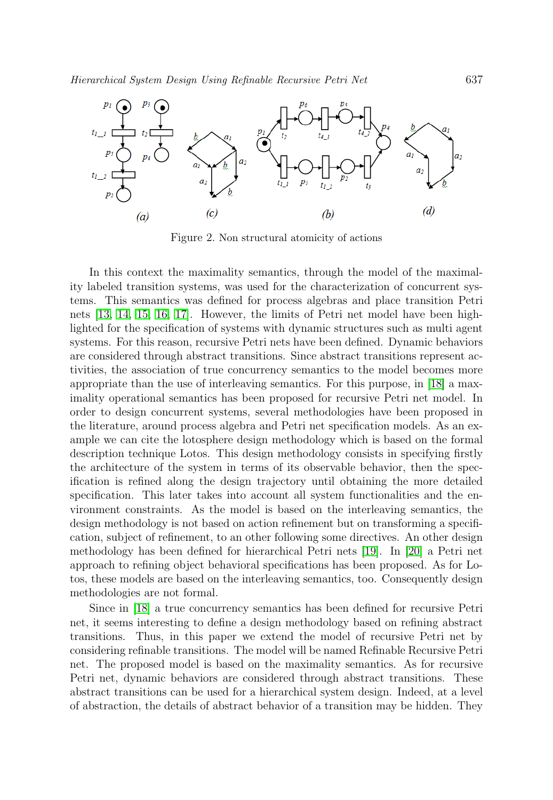

<span id="page-2-0"></span>Figure 2. Non structural atomicity of actions

In this context the maximality semantics, through the model of the maximality labeled transition systems, was used for the characterization of concurrent systems. This semantics was defined for process algebras and place transition Petri nets [\[13,](#page-19-11) [14,](#page-19-12) [15,](#page-19-13) [16,](#page-20-0) [17\]](#page-20-1). However, the limits of Petri net model have been highlighted for the specification of systems with dynamic structures such as multi agent systems. For this reason, recursive Petri nets have been defined. Dynamic behaviors are considered through abstract transitions. Since abstract transitions represent activities, the association of true concurrency semantics to the model becomes more appropriate than the use of interleaving semantics. For this purpose, in [\[18\]](#page-20-2) a maximality operational semantics has been proposed for recursive Petri net model. In order to design concurrent systems, several methodologies have been proposed in the literature, around process algebra and Petri net specification models. As an example we can cite the lotosphere design methodology which is based on the formal description technique Lotos. This design methodology consists in specifying firstly the architecture of the system in terms of its observable behavior, then the specification is refined along the design trajectory until obtaining the more detailed specification. This later takes into account all system functionalities and the environment constraints. As the model is based on the interleaving semantics, the design methodology is not based on action refinement but on transforming a specification, subject of refinement, to an other following some directives. An other design methodology has been defined for hierarchical Petri nets [\[19\]](#page-20-3). In [\[20\]](#page-20-4) a Petri net approach to refining object behavioral specifications has been proposed. As for Lotos, these models are based on the interleaving semantics, too. Consequently design methodologies are not formal.

Since in [\[18\]](#page-20-2) a true concurrency semantics has been defined for recursive Petri net, it seems interesting to define a design methodology based on refining abstract transitions. Thus, in this paper we extend the model of recursive Petri net by considering refinable transitions. The model will be named Refinable Recursive Petri net. The proposed model is based on the maximality semantics. As for recursive Petri net, dynamic behaviors are considered through abstract transitions. These abstract transitions can be used for a hierarchical system design. Indeed, at a level of abstraction, the details of abstract behavior of a transition may be hidden. They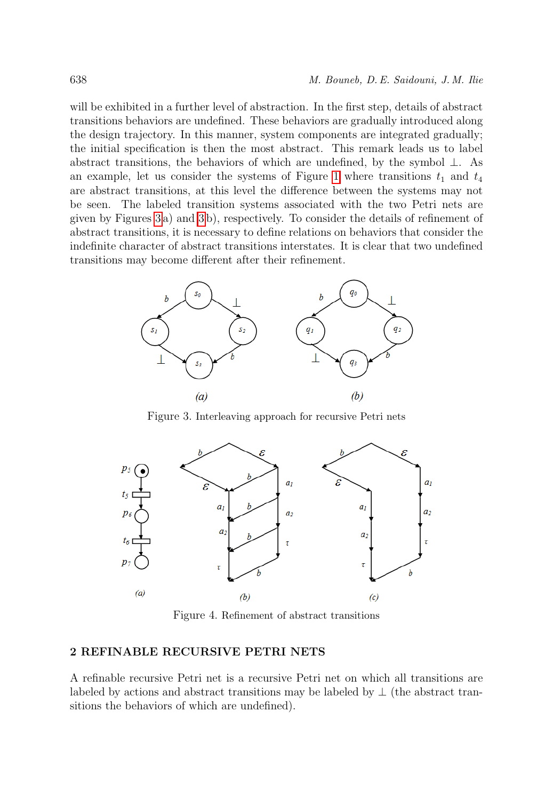will be exhibited in a further level of abstraction. In the first step, details of abstract transitions behaviors are undefined. These behaviors are gradually introduced along the design trajectory. In this manner, system components are integrated gradually; the initial specification is then the most abstract. This remark leads us to label abstract transitions, the behaviors of which are undefined, by the symbol ⊥. As an example, let us consider the systems of Figure [1](#page-1-0) where transitions  $t_1$  and  $t_4$ are abstract transitions, at this level the difference between the systems may not be seen. The labeled transition systems associated with the two Petri nets are given by Figures [3](#page-3-0) a) and [3](#page-3-0) b), respectively. To consider the details of refinement of abstract transitions, it is necessary to define relations on behaviors that consider the indefinite character of abstract transitions interstates. It is clear that two undefined transitions may become different after their refinement.



<span id="page-3-0"></span>Figure 3. Interleaving approach for recursive Petri nets



Figure 4. Refinement of abstract transitions

### 2 REFINABLE RECURSIVE PETRI NETS

A refinable recursive Petri net is a recursive Petri net on which all transitions are labeled by actions and abstract transitions may be labeled by  $\perp$  (the abstract transitions the behaviors of which are undefined).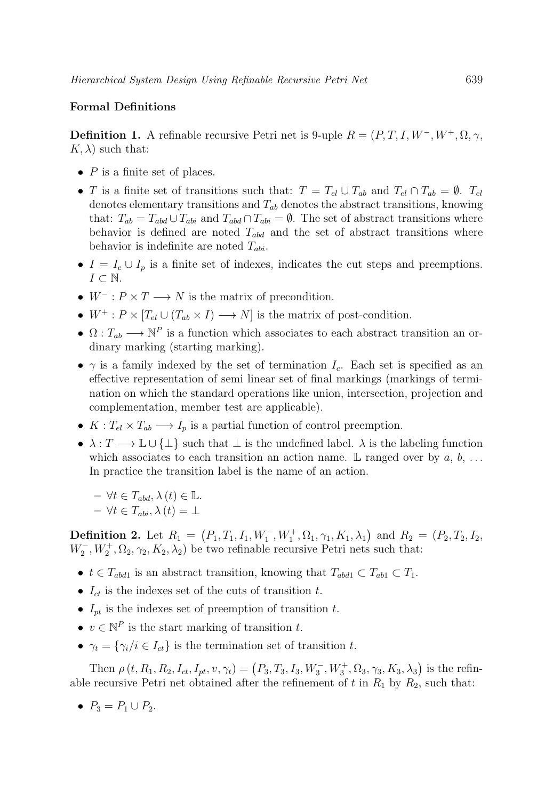### Formal Definitions

**Definition 1.** A refinable recursive Petri net is 9-uple  $R = (P, T, I, W^-, W^+, \Omega, \gamma, \mathcal{L})$  $K, \lambda$ ) such that:

- $P$  is a finite set of places.
- T is a finite set of transitions such that:  $T = T_{el} \cup T_{ab}$  and  $T_{el} \cap T_{ab} = \emptyset$ .  $T_{el}$ denotes elementary transitions and  $T_{ab}$  denotes the abstract transitions, knowing that:  $T_{ab} = T_{abd} \cup T_{abi}$  and  $T_{abd} \cap T_{abi} = \emptyset$ . The set of abstract transitions where behavior is defined are noted  $T_{abd}$  and the set of abstract transitions where behavior is indefinite are noted  $T_{abi}$ .
- $I = I_c \cup I_p$  is a finite set of indexes, indicates the cut steps and preemptions.  $I \subset \mathbb{N}$ .
- $W^- : P \times T \longrightarrow N$  is the matrix of precondition.
- $W^+$ :  $P \times [T_{el} \cup (T_{ab} \times I) \longrightarrow N]$  is the matrix of post-condition.
- $\Omega: T_{ab} \longrightarrow \mathbb{N}^P$  is a function which associates to each abstract transition an ordinary marking (starting marking).
- $\gamma$  is a family indexed by the set of termination  $I_c$ . Each set is specified as an effective representation of semi linear set of final markings (markings of termination on which the standard operations like union, intersection, projection and complementation, member test are applicable).
- $K: T_{el} \times T_{ab} \longrightarrow I_p$  is a partial function of control preemption.
- $\lambda: T \longrightarrow \mathbb{L} \cup {\{\perp\}}$  such that  $\perp$  is the undefined label.  $\lambda$  is the labeling function which associates to each transition an action name. L ranged over by  $a, b, \ldots$ In practice the transition label is the name of an action.

 $-\forall t \in T_{abd}, \lambda(t) \in \mathbb{L}.$  $- \forall t \in T_{abi}, \lambda(t) = \bot$ 

**Definition 2.** Let  $R_1 = (P_1, T_1, I_1, W_1^-, W_1^+, \Omega_1, \gamma_1, K_1, \lambda_1)$  and  $R_2 = (P_2, T_2, I_2,$  $W_2^-, W_2^+, \Omega_2, \gamma_2, K_2, \lambda_2$ ) be two refinable recursive Petri nets such that:

- $t \in T_{abd1}$  is an abstract transition, knowing that  $T_{abd1} \subset T_{ab1} \subset T_1$ .
- $I_{ct}$  is the indexes set of the cuts of transition t.
- $I_{pt}$  is the indexes set of preemption of transition t.
- $v \in \mathbb{N}^P$  is the start marking of transition t.
- $\gamma_t = {\gamma_i / i \in I_{ct}}$  is the termination set of transition t.

Then  $\rho(t, R_1, R_2, I_{ct}, I_{pt}, v, \gamma_t) = (P_3, T_3, I_3, W_3^-, W_3^+, \Omega_3, \gamma_3, K_3, \lambda_3)$  is the refinable recursive Petri net obtained after the refinement of t in  $R_1$  by  $R_2$ , such that:

•  $P_3 = P_1 \cup P_2$ .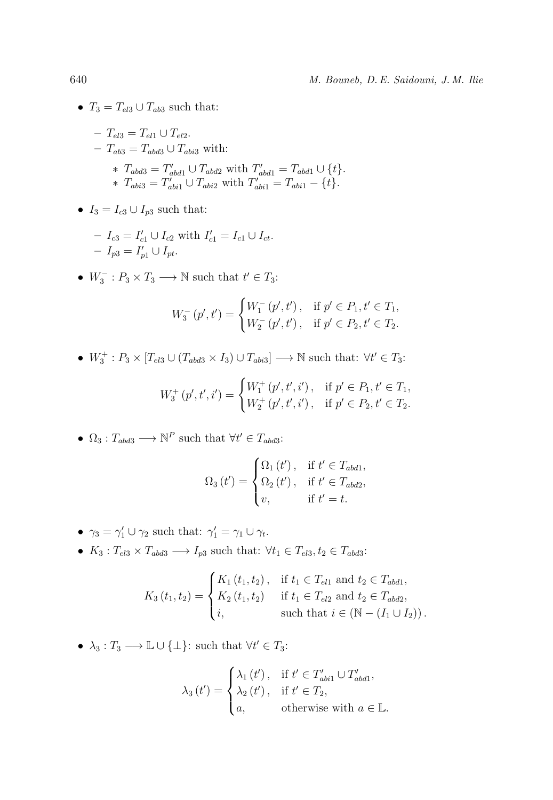•  $T_3 = T_{el3} \cup T_{ab3}$  such that:

$$
- T_{el3} = T_{el1} \cup T_{el2}.
$$
  
\n
$$
- T_{ab3} = T_{abd3} \cup T_{abi3} \text{ with:}
$$
  
\n
$$
* T_{abd3} = T'_{abd1} \cup T_{abd2} \text{ with } T'_{abd1} = T_{abd1} \cup \{t\}.
$$
  
\n
$$
* T_{abi3} = T'_{abi1} \cup T_{abi2} \text{ with } T'_{abi1} = T_{abi1} - \{t\}.
$$

•  $I_3 = I_{c3} \cup I_{p3}$  such that:

$$
- I_{c3} = I'_{c1} \cup I_{c2} \text{ with } I'_{c1} = I_{c1} \cup I_{ct}.
$$
  

$$
- I_{p3} = I'_{p1} \cup I_{pt}.
$$

•  $W_3^-: P_3 \times T_3 \longrightarrow \mathbb{N}$  such that  $t' \in T_3$ :

$$
W_3^-(p',t') = \begin{cases} W_1^-(p',t'), & \text{if } p' \in P_1, t' \in T_1, \\ W_2^-(p',t'), & \text{if } p' \in P_2, t' \in T_2. \end{cases}
$$

•  $W_3^+$ :  $P_3 \times [T_{el3} \cup (T_{abd3} \times I_3) \cup T_{abi3}] \longrightarrow \mathbb{N}$  such that:  $\forall t' \in T_3$ :

$$
W_3^+(p',t',i') = \begin{cases} W_1^+(p',t',i') \,, & \text{if } p' \in P_1, t' \in T_1, \\ W_2^+(p',t',i') \,, & \text{if } p' \in P_2, t' \in T_2. \end{cases}
$$

•  $\Omega_3: T_{abd3} \longrightarrow \mathbb{N}^P$  such that  $\forall t' \in T_{abd3}$ :

$$
\Omega_3(t') = \begin{cases} \Omega_1(t'), & \text{if } t' \in T_{abd1}, \\ \Omega_2(t'), & \text{if } t' \in T_{abd2}, \\ v, & \text{if } t' = t. \end{cases}
$$

- $\gamma_3 = \gamma_1' \cup \gamma_2$  such that:  $\gamma_1' = \gamma_1 \cup \gamma_t$ .
- $K_3: T_{el3} \times T_{abd3} \longrightarrow I_{p3}$  such that:  $\forall t_1 \in T_{el3}, t_2 \in T_{abd3}$ :

$$
K_3(t_1, t_2) = \begin{cases} K_1(t_1, t_2), & \text{if } t_1 \in T_{el1} \text{ and } t_2 \in T_{abd1}, \\ K_2(t_1, t_2) & \text{if } t_1 \in T_{el2} \text{ and } t_2 \in T_{abd2}, \\ i, & \text{such that } i \in (\mathbb{N} - (I_1 \cup I_2)). \end{cases}
$$

•  $\lambda_3: T_3 \longrightarrow \mathbb{L} \cup {\{\perp\}}$ : such that  $\forall t' \in T_3$ :

$$
\lambda_3(t') = \begin{cases} \lambda_1(t'), & \text{if } t' \in T'_{abi1} \cup T'_{abd1}, \\ \lambda_2(t'), & \text{if } t' \in T_2, \\ a, & \text{otherwise with } a \in \mathbb{L}. \end{cases}
$$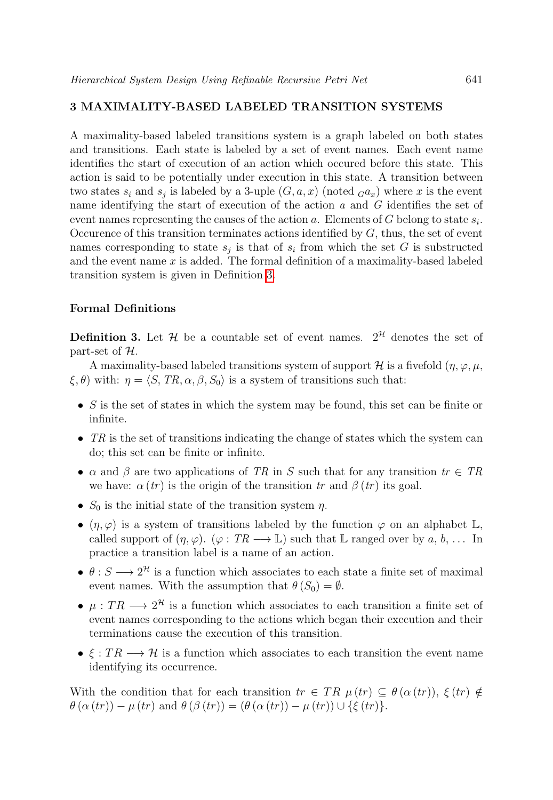# 3 MAXIMALITY-BASED LABELED TRANSITION SYSTEMS

A maximality-based labeled transitions system is a graph labeled on both states and transitions. Each state is labeled by a set of event names. Each event name identifies the start of execution of an action which occured before this state. This action is said to be potentially under execution in this state. A transition between two states  $s_i$  and  $s_j$  is labeled by a 3-uple  $(G, a, x)$  (noted  $_G a_x$ ) where x is the event name identifying the start of execution of the action  $a$  and  $G$  identifies the set of event names representing the causes of the action a. Elements of G belong to state  $s_i$ . Occurence of this transition terminates actions identified by  $G$ , thus, the set of event names corresponding to state  $s_j$  is that of  $s_i$  from which the set G is substructed and the event name  $x$  is added. The formal definition of a maximality-based labeled transition system is given in Definition [3.](#page-6-0)

### Formal Definitions

<span id="page-6-0"></span>**Definition 3.** Let  $\mathcal{H}$  be a countable set of event names.  $2^{\mathcal{H}}$  denotes the set of part-set of  $\mathcal{H}$ .

A maximality-based labeled transitions system of support H is a fivefold  $(\eta, \varphi, \mu, \varphi)$  $\xi, \theta$ ) with:  $\eta = \langle S, TR, \alpha, \beta, S_0 \rangle$  is a system of transitions such that:

- S is the set of states in which the system may be found, this set can be finite or infinite.
- $TR$  is the set of transitions indicating the change of states which the system can do; this set can be finite or infinite.
- $\alpha$  and  $\beta$  are two applications of TR in S such that for any transition  $tr \in TR$ we have:  $\alpha (tr)$  is the origin of the transition tr and  $\beta (tr)$  its goal.
- $S_0$  is the initial state of the transition system  $\eta$ .
- $(\eta, \varphi)$  is a system of transitions labeled by the function  $\varphi$  on an alphabet  $\mathbb{L}$ , called support of  $(\eta, \varphi)$ .  $(\varphi : TR \longrightarrow \mathbb{L})$  such that  $\mathbb{L}$  ranged over by  $a, b, \dots$  In practice a transition label is a name of an action.
- $\theta: S \longrightarrow 2^{\mathcal{H}}$  is a function which associates to each state a finite set of maximal event names. With the assumption that  $\theta(S_0) = \emptyset$ .
- $\mu : TR \longrightarrow 2^{\mathcal{H}}$  is a function which associates to each transition a finite set of event names corresponding to the actions which began their execution and their terminations cause the execution of this transition.
- $\xi : TR \longrightarrow H$  is a function which associates to each transition the event name identifying its occurrence.

With the condition that for each transition  $tr \in TR$   $\mu (tr) \subseteq \theta (\alpha (tr)), \xi (tr) \notin$  $\theta(\alpha(tr)) - \mu(tr)$  and  $\theta(\beta(tr)) = (\theta(\alpha(tr)) - \mu(tr)) \cup {\xi(tr)}.$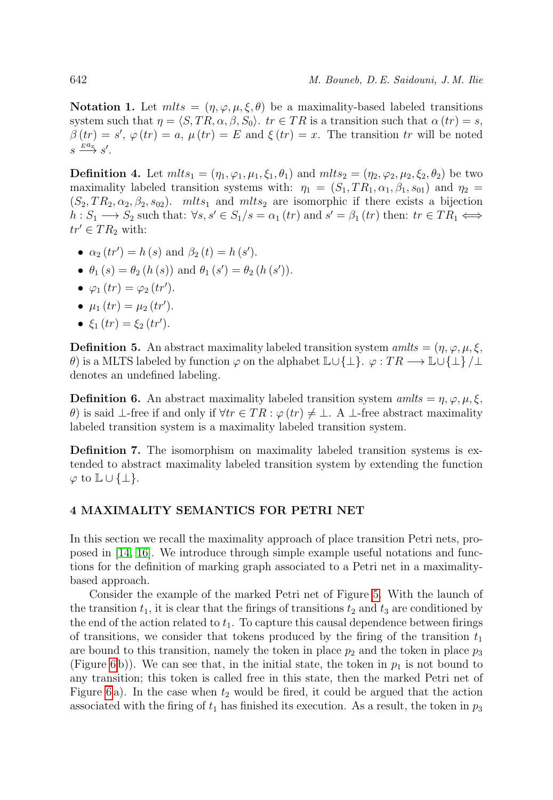Notation 1. Let  $mlts = (\eta, \varphi, \mu, \xi, \theta)$  be a maximality-based labeled transitions system such that  $\eta = \langle S, TR, \alpha, \beta, S_0 \rangle$ . tr  $\in TR$  is a transition such that  $\alpha (tr) = s$ ,  $\beta (tr) = s'$ ,  $\varphi (tr) = a$ ,  $\mu (tr) = E$  and  $\xi (tr) = x$ . The transition tr will be noted  $s \stackrel{E} {\longrightarrow} s'.$ 

**Definition 4.** Let  $mlts_1 = (\eta_1, \varphi_1, \mu_1, \xi_1, \theta_1)$  and  $mlts_2 = (\eta_2, \varphi_2, \mu_2, \xi_2, \theta_2)$  be two maximality labeled transition systems with:  $\eta_1 = (S_1, TR_1, \alpha_1, \beta_1, s_{01})$  and  $\eta_2 =$  $(S_2, TR_2, \alpha_2, \beta_2, s_{02})$ . mlts<sub>1</sub> and mlts<sub>2</sub> are isomorphic if there exists a bijection  $h: S_1 \longrightarrow S_2$  such that:  $\forall s, s' \in S_1/s = \alpha_1 (tr)$  and  $s' = \beta_1 (tr)$  then:  $tr \in TR_1 \Longleftrightarrow$  $tr' \in TR_2$  with:

- $\alpha_2(tr') = h(s)$  and  $\beta_2(t) = h(s')$ .
- $\theta_1(s) = \theta_2(h(s))$  and  $\theta_1(s') = \theta_2(h(s'))$ .
- $\varphi_1(tr) = \varphi_2(tr')$ .
- $\mu_1(tr) = \mu_2(tr')$ .
- $\xi_1(tr) = \xi_2(tr')$ .

**Definition 5.** An abstract maximality labeled transition system amilts =  $(\eta, \varphi, \mu, \xi)$ ,  $\theta$ ) is a MLTS labeled by function  $\varphi$  on the alphabet  $\mathbb{L}\cup\{\perp\}$ .  $\varphi:TR\longrightarrow \mathbb{L}\cup\{\perp\}/\perp$ denotes an undefined labeling.

**Definition 6.** An abstract maximality labeled transition system amilles =  $\eta$ ,  $\varphi$ ,  $\mu$ ,  $\xi$ , θ) is said ⊥-free if and only if  $\forall tr \in TR : \varphi(tr) \neq \bot$ . A ⊥-free abstract maximality labeled transition system is a maximality labeled transition system.

Definition 7. The isomorphism on maximality labeled transition systems is extended to abstract maximality labeled transition system by extending the function  $\varphi$  to  $\mathbb{L} \cup \{\perp\}.$ 

# 4 MAXIMALITY SEMANTICS FOR PETRI NET

In this section we recall the maximality approach of place transition Petri nets, proposed in [\[14,](#page-19-12) [16\]](#page-20-0). We introduce through simple example useful notations and functions for the definition of marking graph associated to a Petri net in a maximalitybased approach.

Consider the example of the marked Petri net of Figure [5.](#page-8-0) With the launch of the transition  $t_1$ , it is clear that the firings of transitions  $t_2$  and  $t_3$  are conditioned by the end of the action related to  $t_1$ . To capture this causal dependence between firings of transitions, we consider that tokens produced by the firing of the transition  $t_1$ are bound to this transition, namely the token in place  $p_2$  and the token in place  $p_3$ (Figure [6](#page-8-1)b)). We can see that, in the initial state, the token in  $p_1$  is not bound to any transition; this token is called free in this state, then the marked Petri net of Figure [6](#page-8-1) a). In the case when  $t_2$  would be fired, it could be argued that the action associated with the firing of  $t_1$  has finished its execution. As a result, the token in  $p_3$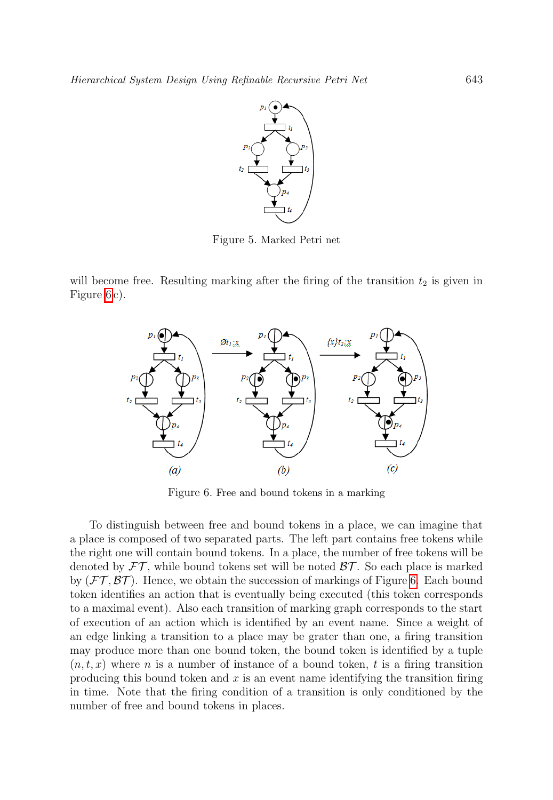

<span id="page-8-0"></span>Figure 5. Marked Petri net

will become free. Resulting marking after the firing of the transition  $t_2$  is given in Figure [6](#page-8-1) c).



<span id="page-8-1"></span>Figure 6. Free and bound tokens in a marking

To distinguish between free and bound tokens in a place, we can imagine that a place is composed of two separated parts. The left part contains free tokens while the right one will contain bound tokens. In a place, the number of free tokens will be denoted by  $FT$ , while bound tokens set will be noted  $BT$ . So each place is marked by  $(\mathcal{FT}, \mathcal{BT})$ . Hence, we obtain the succession of markings of Figure [6.](#page-8-1) Each bound token identifies an action that is eventually being executed (this token corresponds to a maximal event). Also each transition of marking graph corresponds to the start of execution of an action which is identified by an event name. Since a weight of an edge linking a transition to a place may be grater than one, a firing transition may produce more than one bound token, the bound token is identified by a tuple  $(n, t, x)$  where n is a number of instance of a bound token, t is a firing transition producing this bound token and  $x$  is an event name identifying the transition firing in time. Note that the firing condition of a transition is only conditioned by the number of free and bound tokens in places.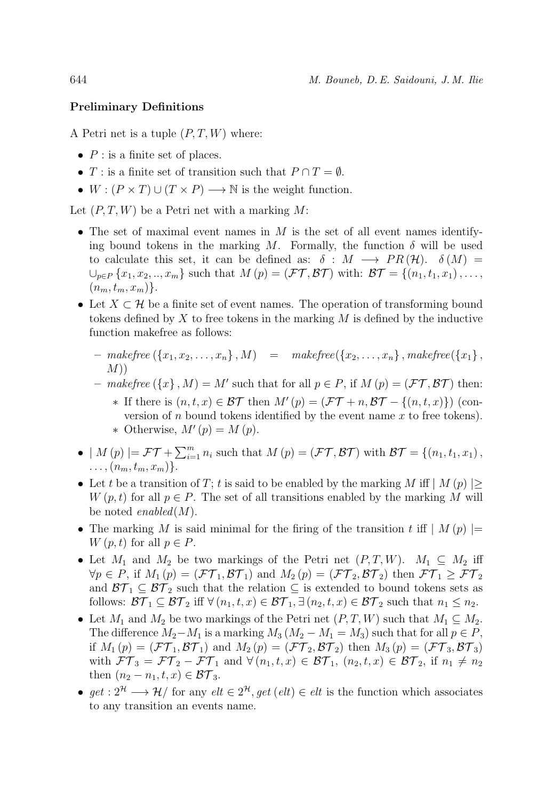#### Preliminary Definitions

A Petri net is a tuple  $(P, T, W)$  where:

- $P$  : is a finite set of places.
- T : is a finite set of transition such that  $P \cap T = \emptyset$ .
- $W : (P \times T) \cup (T \times P) \longrightarrow \mathbb{N}$  is the weight function.

Let  $(P, T, W)$  be a Petri net with a marking M:

- The set of maximal event names in  $M$  is the set of all event names identifying bound tokens in the marking M. Formally, the function  $\delta$  will be used to calculate this set, it can be defined as:  $\delta : M \longrightarrow PR(H)$ .  $\delta(M) =$  $\bigcup_{p\in P}\{x_1, x_2, \ldots, x_m\}$  such that  $M(p) = (\mathcal{FT}, \mathcal{BT})$  with:  $\mathcal{BT} = \{(n_1, t_1, x_1), \ldots,$  $(n_m, t_m, x_m)$ .
- Let  $X \subset \mathcal{H}$  be a finite set of event names. The operation of transforming bound tokens defined by  $X$  to free tokens in the marking  $M$  is defined by the inductive function makefree as follows:
	- $makefree (\{x_1, x_2, \ldots, x_n\}, M) = makefree(\{x_2, \ldots, x_n\}, makefree(\{x_1\},\$  $M$ )
	- makefree  $(\lbrace x \rbrace, M) = M'$  such that for all  $p \in P$ , if  $M(p) = (\mathcal{FT}, \mathcal{BT})$  then:
		- **∗** If there is  $(n, t, x) \in \mathcal{BT}$  then  $M'(p) = (\mathcal{FT} + n, \mathcal{BT} \{(n, t, x)\})$  (conversion of  $n$  bound tokens identified by the event name  $x$  to free tokens). \* Otherwise,  $M'(p) = M(p)$ .
- $|M(p)| = \mathcal{FT} + \sum_{i=1}^{m} n_i$  such that  $M(p) = (\mathcal{FT}, \mathcal{BT})$  with  $\mathcal{BT} = \{(n_1, t_1, x_1),$  $\ldots$ ,  $(n_m, t_m, x_m)$ .
- Let t be a transition of T; t is said to be enabled by the marking M iff  $|M(p)| >$  $W(p, t)$  for all  $p \in P$ . The set of all transitions enabled by the marking M will be noted *enabled* $(M)$ .
- The marking M is said minimal for the firing of the transition t iff  $|M(p)| =$  $W(p, t)$  for all  $p \in P$ .
- Let  $M_1$  and  $M_2$  be two markings of the Petri net  $(P, T, W)$ .  $M_1 \subseteq M_2$  iff  $\forall p \in P$ , if  $M_1(p) = (\mathcal{FT}_1, \mathcal{BT}_1)$  and  $M_2(p) = (\mathcal{FT}_2, \mathcal{BT}_2)$  then  $\mathcal{FT}_1 \geq \mathcal{FT}_2$ and  $\mathcal{BT}_1 \subseteq \mathcal{BT}_2$  such that the relation  $\subseteq$  is extended to bound tokens sets as follows:  $\mathcal{BT}_1 \subseteq \mathcal{BT}_2$  iff  $\forall (n_1, t, x) \in \mathcal{BT}_1, \exists (n_2, t, x) \in \mathcal{BT}_2$  such that  $n_1 \leq n_2$ .
- Let  $M_1$  and  $M_2$  be two markings of the Petri net  $(P, T, W)$  such that  $M_1 \subseteq M_2$ . The difference  $M_2-M_1$  is a marking  $M_3 (M_2 - M_1 = M_3)$  such that for all  $p \in P$ , if  $M_1(p) = (\mathcal{FT}_1, \mathcal{BT}_1)$  and  $M_2(p) = (\mathcal{FT}_2, \mathcal{BT}_2)$  then  $M_3(p) = (\mathcal{FT}_3, \mathcal{BT}_3)$ with  $FT_3 = FT_2 - FT_1$  and  $\forall (n_1, t, x) \in BT_1$ ,  $(n_2, t, x) \in BT_2$ , if  $n_1 \neq n_2$ then  $(n_2 - n_1, t, x) \in \mathcal{BT}_3$ .
- get :  $2^{\mathcal{H}} \longrightarrow \mathcal{H}/$  for any  $elt \in 2^{\mathcal{H}}, get$  (elt)  $\in$  elt is the function which associates to any transition an events name.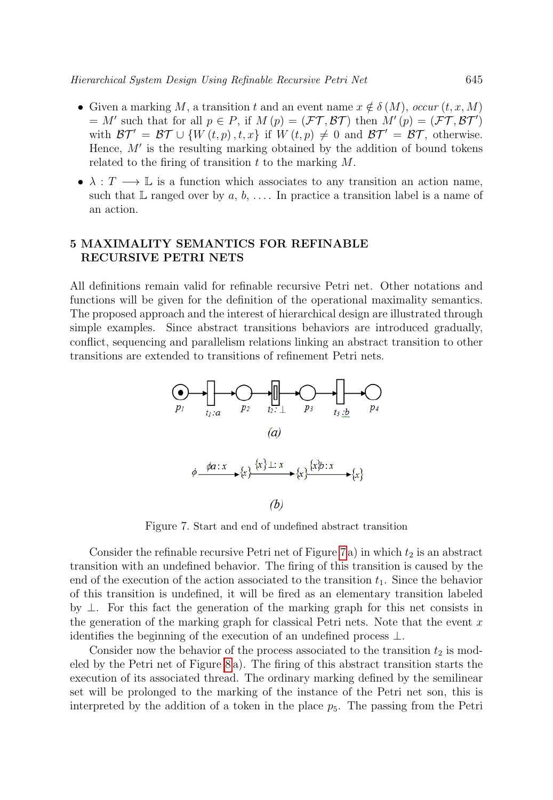- Given a marking M, a transition t and an event name  $x \notin \delta(M)$ , occur  $(t, x, M)$ = M' such that for all  $p \in P$ , if  $M(p) = (\mathcal{FT}, \mathcal{BT})$  then  $M'(p) = (\mathcal{FT}, \mathcal{BT}')$ with  $\mathcal{BT}' = \mathcal{BT} \cup \{W(t,p), t, x\}$  if  $W(t,p) \neq 0$  and  $\mathcal{BT}' = \mathcal{BT}$ , otherwise. Hence,  $M'$  is the resulting marking obtained by the addition of bound tokens related to the firing of transition  $t$  to the marking  $M$ .
- $\lambda : T \longrightarrow \mathbb{L}$  is a function which associates to any transition an action name, such that  $\mathbb L$  ranged over by  $a, b, \ldots$ . In practice a transition label is a name of an action.

# 5 MAXIMALITY SEMANTICS FOR REFINABLE RECURSIVE PETRI NETS

All definitions remain valid for refinable recursive Petri net. Other notations and functions will be given for the definition of the operational maximality semantics. The proposed approach and the interest of hierarchical design are illustrated through simple examples. Since abstract transitions behaviors are introduced gradually, conflict, sequencing and parallelism relations linking an abstract transition to other transitions are extended to transitions of refinement Petri nets.



<span id="page-10-0"></span>Figure 7. Start and end of undefined abstract transition

Consider the refinable recursive Petri net of Figure [7](#page-10-0) a) in which  $t_2$  is an abstract transition with an undefined behavior. The firing of this transition is caused by the end of the execution of the action associated to the transition  $t_1$ . Since the behavior of this transition is undefined, it will be fired as an elementary transition labeled by ⊥. For this fact the generation of the marking graph for this net consists in the generation of the marking graph for classical Petri nets. Note that the event  $x$ identifies the beginning of the execution of an undefined process  $\perp$ .

Consider now the behavior of the process associated to the transition  $t_2$  is modeled by the Petri net of Figure [8](#page-11-0) a). The firing of this abstract transition starts the execution of its associated thread. The ordinary marking defined by the semilinear set will be prolonged to the marking of the instance of the Petri net son, this is interpreted by the addition of a token in the place  $p_5$ . The passing from the Petri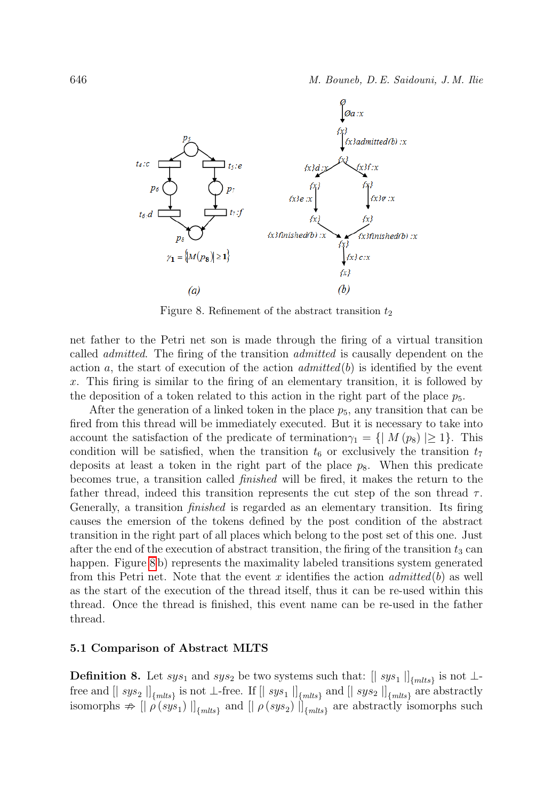

<span id="page-11-0"></span>Figure 8. Refinement of the abstract transition  $t_2$ 

net father to the Petri net son is made through the firing of a virtual transition called admitted. The firing of the transition admitted is causally dependent on the action a, the start of execution of the action  $admitted(b)$  is identified by the event x. This firing is similar to the firing of an elementary transition, it is followed by the deposition of a token related to this action in the right part of the place  $p_5$ .

After the generation of a linked token in the place  $p_5$ , any transition that can be fired from this thread will be immediately executed. But it is necessary to take into account the satisfaction of the predicate of termination $\gamma_1 = \{ | M(p_8) | \geq 1 \}.$  This condition will be satisfied, when the transition  $t_6$  or exclusively the transition  $t_7$ deposits at least a token in the right part of the place  $p_8$ . When this predicate becomes true, a transition called finished will be fired, it makes the return to the father thread, indeed this transition represents the cut step of the son thread  $\tau$ . Generally, a transition finished is regarded as an elementary transition. Its firing causes the emersion of the tokens defined by the post condition of the abstract transition in the right part of all places which belong to the post set of this one. Just after the end of the execution of abstract transition, the firing of the transition  $t_3$  can happen. Figure [8](#page-11-0) b) represents the maximality labeled transitions system generated from this Petri net. Note that the event x identifies the action  $\mathit{admitted}(b)$  as well as the start of the execution of the thread itself, thus it can be re-used within this thread. Once the thread is finished, this event name can be re-used in the father thread.

#### 5.1 Comparison of Abstract MLTS

**Definition 8.** Let  $sys_1$  and  $sys_2$  be two systems such that:  $[|sys_1|]_{\{mlts\}}$  is not ⊥free and  $[|$   $sys_2|]_{\{mlts\}}$  is not ⊥-free. If  $[|$   $sys_1|]_{\{mlts\}}$  and  $[|$   $sys_2|]_{\{mlts\}}$  are abstractly isomorphs  $\Rightarrow$   $\left[\right]$   $\rho(sys_1)$   $\left[\right]$ <sub>{mlts}</sub> and  $\left[\right]$   $\rho(sys_2)$   $\left[\right]$ <sub>{mlts}</sub> are abstractly isomorphs such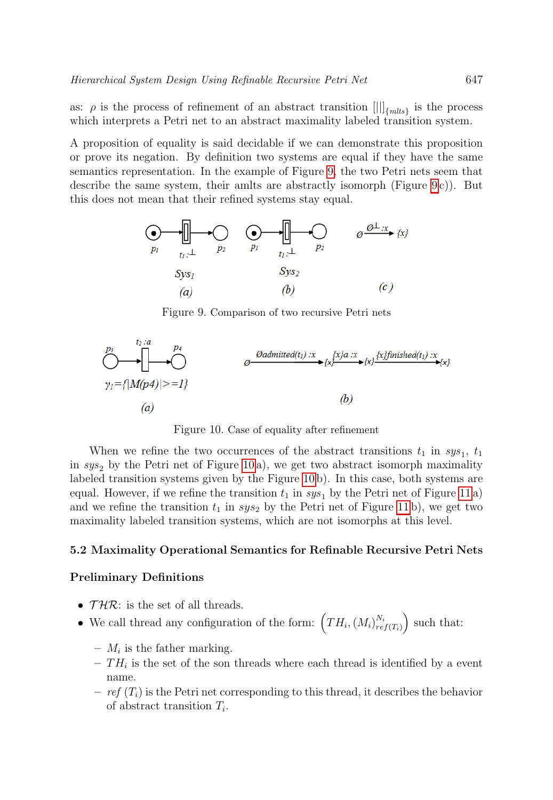as:  $\rho$  is the process of refinement of an abstract transition  $[||]$ <sub>{mlts}</sub> is the process which interprets a Petri net to an abstract maximality labeled transition system.

A proposition of equality is said decidable if we can demonstrate this proposition or prove its negation. By definition two systems are equal if they have the same semantics representation. In the example of Figure [9,](#page-12-0) the two Petri nets seem that describe the same system, their amlts are abstractly isomorph (Figure  $9c$ ). But this does not mean that their refined systems stay equal.



<span id="page-12-0"></span>Figure 9. Comparison of two recursive Petri nets

$$
\begin{array}{ccc}\n & \text{D} & & \text{D} \\
\hline\n & & & \\
\text{D} & & & \\
\text{E} & & & \\
\text{E} & & & \\
\text{E} & & & \\
\text{E} & & & \\
\text{E} & & & \\
\text{E} & & & \\
\text{E} & & & \\
\text{E} & & & \\
\text{E} & & & \\
\text{E} & & & \\
\text{E} & & & \\
\text{E} & & & \\
\text{E} & & & \\
\text{E} & & & \\
\text{E} & & & \\
\text{E} & & & \\
\text{E} & & & \\
\text{E} & & & \\
\text{E} & & & \\
\text{E} & & & \\
\text{E} & & & \\
\text{E} & & & \\
\text{E} & & & \\
\text{E} & & & \\
\text{E} & & & \\
\text{E} & & & \\
\text{E} & & & \\
\text{E} & & & \\
\text{E} & & & \\
\text{E} & & & \\
\text{E} & & & \\
\text{E} & & & \\
\text{E} & & & \\
\text{E} & & & \\
\text{E} & & & \\
\text{E} & & & \\
\text{E} & & & \\
\text{E} & & & \\
\text{E} & & & \\
\text{E} & & & \\
\text{E} & & & \\
\text{E} & & & \\
\text{E} & & & \\
\text{E} & & & \\
\text{E} & & & \\
\text{E} & & & \\
\text{E} & & &
$$

<span id="page-12-1"></span>Figure 10. Case of equality after refinement

When we refine the two occurrences of the abstract transitions  $t_1$  in  $sys_1$ ,  $t_1$ in  $sys_2$  by the Petri net of Figure [10](#page-12-1) a), we get two abstract isomorph maximality labeled transition systems given by the Figure [10](#page-12-1) b). In this case, both systems are equal. However, if we refine the transition  $t_1$  in  $sys_1$  by the Petri net of Figure [11](#page-13-0) a) and we refine the transition  $t_1$  in  $sys_2$  by the Petri net of Figure [11](#page-13-0) b), we get two maximality labeled transition systems, which are not isomorphs at this level.

### 5.2 Maximality Operational Semantics for Refinable Recursive Petri Nets

# Preliminary Definitions

- $THR$ : is the set of all threads.
- We call thread any configuration of the form:  $(TH_i,(M_i)_{ref(T_i)}^{N_i})$  such that:
	- $M_i$  is the father marking.
	- $TH_i$  is the set of the son threads where each thread is identified by a event name.
	- $-ref(T<sub>i</sub>)$  is the Petri net corresponding to this thread, it describes the behavior of abstract transition  $T_i$ .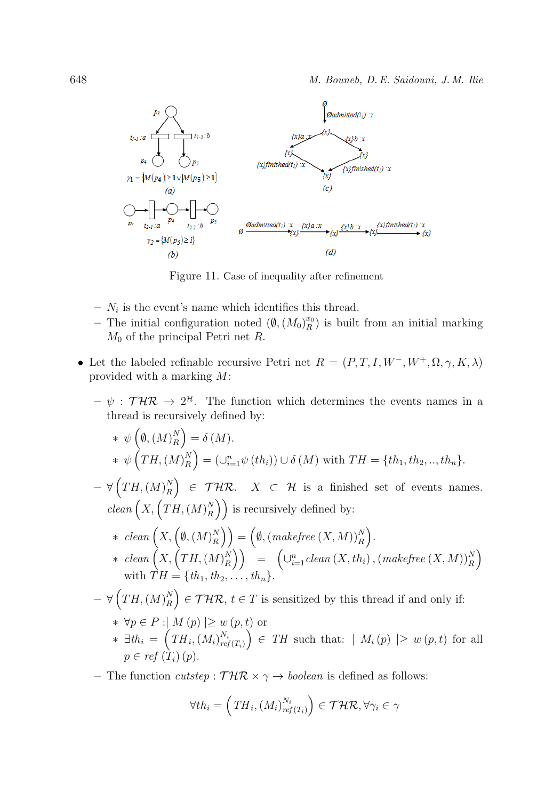

<span id="page-13-0"></span>Figure 11. Case of inequality after refinement

- $N_i$  is the event's name which identifies this thread.
- The initial configuration noted  $(\emptyset, (M_0)_R^{x_0})$  is built from an initial marking  $M_0$  of the principal Petri net R.
- Let the labeled refinable recursive Petri net  $R = (P, T, I, W^-, W^+, \Omega, \gamma, K, \lambda)$ provided with a marking M:
	- $\psi : \mathcal{T} \mathcal{H} \mathcal{R} \to 2^{\mathcal{H}}$ . The function which determines the events names in a thread is recursively defined by:

\* 
$$
\psi\left(\emptyset, (M)^{N}_{R}\right) = \delta(M).
$$
  
\n\*  $\psi\left(TH, (M)^{N}_{R}\right) = (\cup_{i=1}^{n} \psi\left(th_{i}\right)) \cup \delta\left(M\right)$  with  $TH = \{th_{1}, th_{2}, ..., th_{n}\}.$   
\n $-\forall\left(TH, (M)^{N}_{R}\right) \in THR.$   $X \subset H$  is a finished set of events names.  
\n $clean\left(X, \left(TM, (M)^{N}_{R}\right)\right)$  is recursively defined by:  
\n\*  $clean\left(X, \left(\emptyset, (M)^{N}_{R}\right)\right) = \left(\emptyset, (makefree\left(X, M)\right)^{N}_{R}\right).$   
\n\*  $clean\left(X, \left(TM, (M)^{N}_{R}\right)\right) = \left(\bigcup_{i=1}^{n} clean\left(X, th_{i}\right), (makefree\left(X, M)\right)^{N}_{R}\right)$   
\nwith  $TH = \{th_{1}, th_{2}, ..., th_{n}\}.$   
\n $-\forall\left(TM, (M)^{N}_{R}\right) \in THR, t \in T$  is sensitized by this thread if and only if:  
\n\*  $\forall p \in P : |M(p)| \geq w(p, t)$  or  
\n\*  $\exists th_{i} = \left(TH_{i}, (M_{i})^{N_{i}}_{ref(T_{i})}\right) \in TH$  such that:  $|M_{i}(p)| \geq w(p, t)$  for all  
\n $p \in ref(T_{i})(p).$ 

– The function cutstep:  $\mathcal{THR} \times \gamma \rightarrow boolean$  is defined as follows:

$$
\forall th_i = \left( TH_i, (M_i)_{ref(T_i)}^{N_i} \right) \in \mathcal{THR}, \forall \gamma_i \in \gamma
$$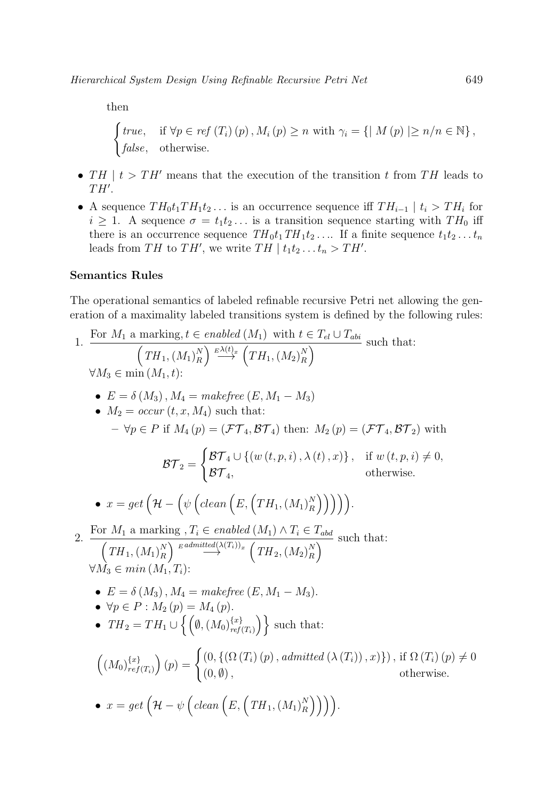then

 $\int true$ , if  $\forall p \in ref(T_i)(p)$ ,  $M_i(p) \geq n$  with  $\gamma_i = \{ |M(p)| \geq n/n \in \mathbb{N} \},$ false, otherwise.

- TH  $|t|$  t  $T$  H' means that the execution of the transition t from TH leads to  $TH^{\prime}$ .
- A sequence  $TH_0t_1TH_1t_2...$  is an occurrence sequence iff  $TH_{i-1} \mid t_i > TH_i$  for  $i \geq 1$ . A sequence  $\sigma = t_1 t_2 \dots$  is a transition sequence starting with  $TH_0$  iff there is an occurrence sequence  $TH_0t_1TH_1t_2...$  If a finite sequence  $t_1t_2...t_n$ leads from TH to TH', we write TH  $| t_1 t_2 ... t_n > TH'$ .

# Semantics Rules

The operational semantics of labeled refinable recursive Petri net allowing the generation of a maximality labeled transitions system is defined by the following rules:

1. For 
$$
M_1
$$
 a marking,  $t \in enabled(M_1)$  with  $t \in T_{el} \cup T_{abi}$  such that:  
\n
$$
(TH_1, (M_1)_R^N) \xrightarrow{\rho \Delta(t)_2} (TH_1, (M_2)_R^N)
$$
\n
$$
\forall M_3 \in \min(M_1, t):
$$
\n•  $E = \delta(M_3), M_4 = makefree(E, M_1 - M_3)$   
\n•  $M_2 = occur(t, x, M_4)$  such that:  
\n $-\forall p \in P$  if  $M_4(p) = (\mathcal{FT}_4, \mathcal{BT}_4)$  then:  $M_2(p) = (\mathcal{FT}_4, \mathcal{BT}_2)$  with  
\n
$$
\mathcal{BT}_2 = \begin{cases} \mathcal{BT}_4 \cup \{(w(t, p, i), \lambda(t), x)\}, & \text{if } w(t, p, i) \neq 0, \\ \mathcal{BT}_4, & \text{otherwise.} \end{cases}
$$
\n•  $x = get \left(\mathcal{H} - \left(\psi \left(clean\left(E, (TH_1, (M_1)_R^N)\right)\right)\right)\right).$   
\n2. For  $M_1$  a marking,  $T_i \in enabled(M_1) \land T_i \in T_{abd}$  such that:  
\n
$$
(TH_1, (M_1)_R^N) \xrightarrow{\text{gadmitted}} (T_1)_2 \cdot (TH_2, (M_2)_R^N)
$$
\n
$$
\forall M_3 \in min(M_1, T_i):
$$
\n•  $E = \delta(M_3), M_4 = makefree(E, M_1 - M_3).$ \n•  $\forall p \in P : M_2(p) = M_4(p).$ \n•  $TH_2 = TH_1 \cup \{ \left(\emptyset, (M_0)_{ref(T_i)}^{(i_2)}\right) \} \text{ such that:}$   
\n
$$
((M_0)_{ref(T_i)}^{(x_2)})(p) = \begin{cases} (0, \{ (\Omega(T_i)(p), admitted(\lambda(T_i)), x) \}), \text{if } \Omega(T_i)(p) \neq 0, \\ (0, \emptyset), & \text{otherwise.} \end{cases}
$$
\n•  $x = get \left(\mathcal{H} - \psi \left( clean\left(E, (TH_1, (M_1)_R^N)\right)\right)\right).$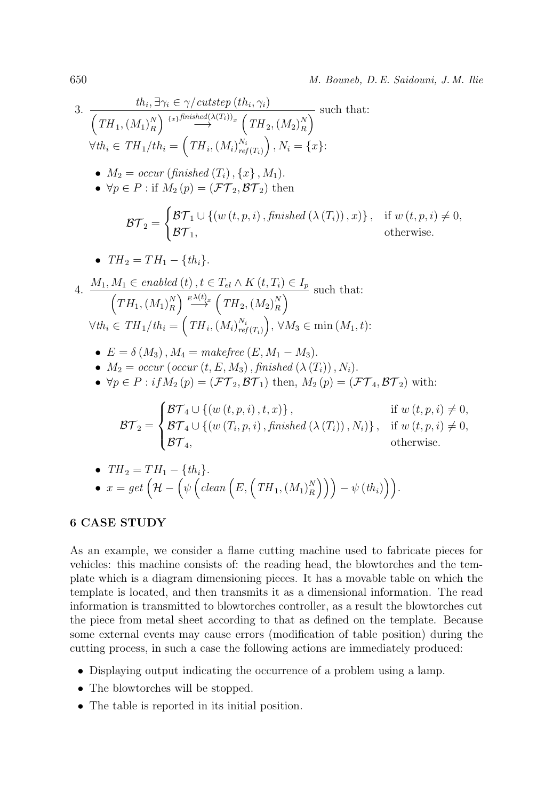3. 
$$
\frac{th_i, \exists \gamma_i \in \gamma/cutstep \ (th_i, \gamma_i)}{\left( TH_1, (M_1)_R^N \right)^{i+j\text{finite}} \longrightarrow \left( TH_2, (M_2)_R^N \right)} \text{ such that:}
$$
\n
$$
\forall th_i \in TH_1/th_i = \left( TH_i, (M_i)_{ref(T_i)}^{N_i} \right), N_i = \{x\}:
$$
\n•  $M_2 = \text{occur}\left(\text{finshed}\left(T_i\right), \{x\}, M_1\right).$ \n•  $\forall p \in P : \text{if } M_2(p) = (\mathcal{FT}_2, \mathcal{BT}_2) \text{ then}$ \n
$$
\mathcal{BT}_2 = \begin{cases} \mathcal{BT}_1 \cup \left\{ (w(t, p, i), \text{finshed}\left(\lambda(T_i)\right), x \right\}, & \text{if } w(t, p, i) \neq 0, \\ \mathcal{BT}_1, & \text{otherwise.} \end{cases}
$$
\n•  $TH_2 = TH_1 - \{th_i\}.$ \n4. 
$$
\frac{M_1, M_1 \in \text{enable}(t), t \in T_{el} \land K(t, T_i) \in I_p}{\left( TH_1, (M_1)_R^N \right)^{\frac{p \lambda(t)}{2}} \left( TH_2, (M_2)_R^N \right)}
$$
\n
$$
\forall th_i \in TH_1/th_i = \left( TH_i, (M_i)_{ref(T_i)}^{N_i} \right), \forall M_3 \in \min(M_1, t):
$$
\n•  $E = \delta(M_3), M_4 = \text{makefree}(E, M_1 - M_3).$ \n•  $M_2 = \text{occur}\left(\text{occur}\left(t, E, M_3\right), \text{finshed}\left(\lambda(T_i)\right), N_i\right).$ \n•  $\forall p \in P : \text{if } M_2(p) = (\mathcal{FT}_2, \mathcal{BT}_1) \text{ then, } M_2(p) = (\mathcal{FT}_4, \mathcal{BT}_2) \text{ with:}$ \n
$$
\mathcal{BT}_2 = \begin{cases} \mathcal{BT}_4 \cup \left\{ (w(t, p, i), t, x \right\}, & \text{if } w(t, p, i) \neq 0, \\ \mathcal{BT}_4, & \text{otherwise.} \end{cases}
$$
\n7.  $TT$ 

• 
$$
TH_2 = TH_1 - \{th_i\}.
$$
  
\n•  $x = get \left(\mathcal{H} - \left(\psi\left(clean\left(E, \left(TH_1, (M_1)_R^N\right)\right)\right) - \psi\left(th_i\right)\right)\right).$ 

# 6 CASE STUDY

As an example, we consider a flame cutting machine used to fabricate pieces for vehicles: this machine consists of: the reading head, the blowtorches and the template which is a diagram dimensioning pieces. It has a movable table on which the template is located, and then transmits it as a dimensional information. The read information is transmitted to blowtorches controller, as a result the blowtorches cut the piece from metal sheet according to that as defined on the template. Because some external events may cause errors (modification of table position) during the cutting process, in such a case the following actions are immediately produced:

- Displaying output indicating the occurrence of a problem using a lamp.
- The blowtorches will be stopped.
- The table is reported in its initial position.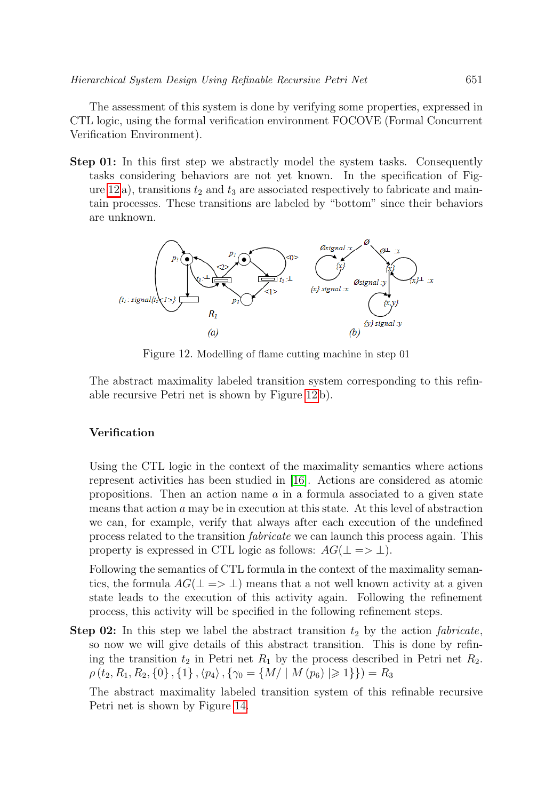The assessment of this system is done by verifying some properties, expressed in CTL logic, using the formal verification environment FOCOVE (Formal Concurrent Verification Environment).

Step 01: In this first step we abstractly model the system tasks. Consequently tasks considering behaviors are not yet known. In the specification of Fig-ure [12](#page-16-0) a), transitions  $t_2$  and  $t_3$  are associated respectively to fabricate and maintain processes. These transitions are labeled by "bottom" since their behaviors are unknown.



<span id="page-16-0"></span>Figure 12. Modelling of flame cutting machine in step 01

The abstract maximality labeled transition system corresponding to this refinable recursive Petri net is shown by Figure [12](#page-16-0) b).

# Verification

Using the CTL logic in the context of the maximality semantics where actions represent activities has been studied in [\[16\]](#page-20-0). Actions are considered as atomic propositions. Then an action name  $\alpha$  in a formula associated to a given state means that action a may be in execution at this state. At this level of abstraction we can, for example, verify that always after each execution of the undefined process related to the transition fabricate we can launch this process again. This property is expressed in CTL logic as follows:  $AG(\perp \Rightarrow \perp)$ .

Following the semantics of CTL formula in the context of the maximality semantics, the formula  $AG(\perp \Rightarrow \perp)$  means that a not well known activity at a given state leads to the execution of this activity again. Following the refinement process, this activity will be specified in the following refinement steps.

**Step 02:** In this step we label the abstract transition  $t_2$  by the action *fabricate*, so now we will give details of this abstract transition. This is done by refining the transition  $t_2$  in Petri net  $R_1$  by the process described in Petri net  $R_2$ .  $\rho(t_2, R_1, R_2, \{0\}, \{1\}, \langle p_4 \rangle, \{\gamma_0 = \{M/ \mid M(p_6) \geq 1\}\}) = R_3$ 

The abstract maximality labeled transition system of this refinable recursive Petri net is shown by Figure [14.](#page-17-0)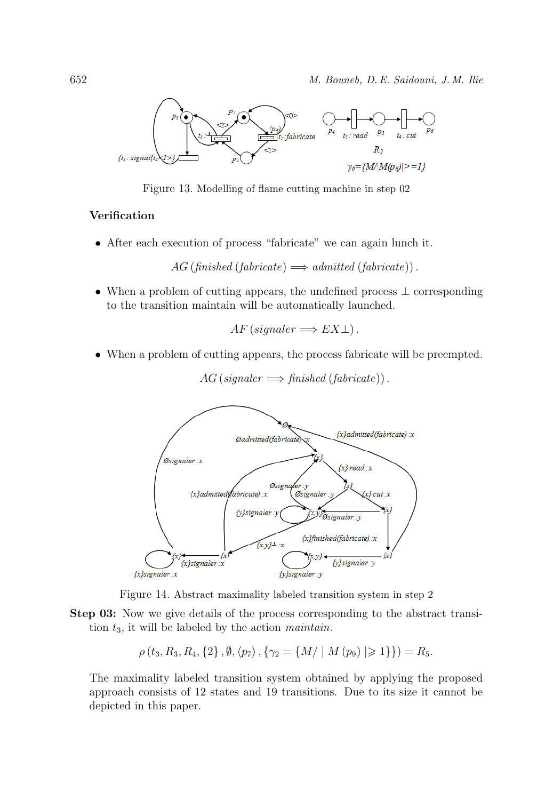

Figure 13. Modelling of flame cutting machine in step 02

# Verification

• After each execution of process "fabricate" we can again lunch it.

 $AG (f \nin \in \mathbb{R}) \Longrightarrow \mathbb{R}$  admitted  $(f \nin \in \mathbb{R})$ .

• When a problem of cutting appears, the undefined process ⊥ corresponding to the transition maintain will be automatically launched.

 $AF (signature \Longrightarrow EX \bot).$ 

• When a problem of cutting appears, the process fabricate will be preempted.



$$
AG
$$
 (signaler  $\implies$  finished (fabricate)).

<span id="page-17-0"></span>Figure 14. Abstract maximality labeled transition system in step 2

Step 03: Now we give details of the process corresponding to the abstract transition  $t_3$ , it will be labeled by the action *maintain*.

$$
\rho(t_3, R_3, R_4, \{2\}, \emptyset, \langle p_7 \rangle, \{ \gamma_2 = \{ M / \mid M(p_9) \mid \geq 1 \} \}) = R_5.
$$

The maximality labeled transition system obtained by applying the proposed approach consists of 12 states and 19 transitions. Due to its size it cannot be depicted in this paper.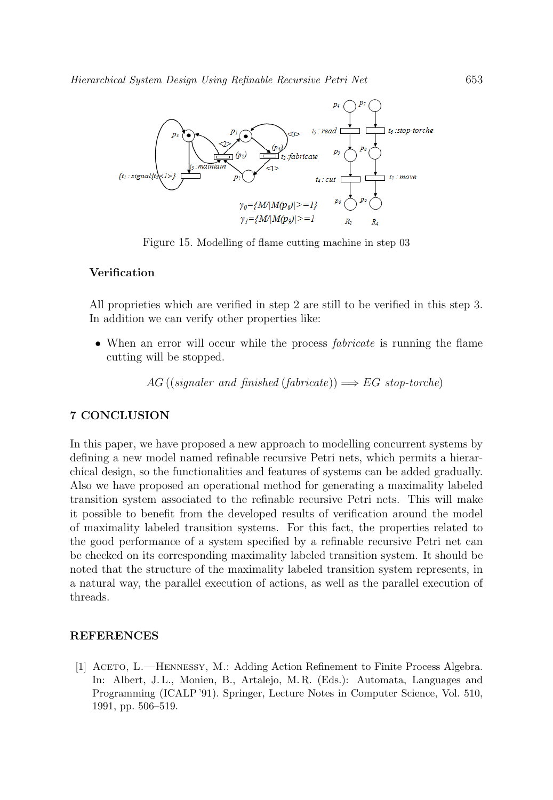

Figure 15. Modelling of flame cutting machine in step 03

### Verification

All proprieties which are verified in step 2 are still to be verified in this step 3. In addition we can verify other properties like:

• When an error will occur while the process *fabricate* is running the flame cutting will be stopped.

AG ((signaler and finished (fabricate))  $\Longrightarrow EG$  stop-torche)

### <span id="page-18-0"></span>7 CONCLUSION

In this paper, we have proposed a new approach to modelling concurrent systems by defining a new model named refinable recursive Petri nets, which permits a hierarchical design, so the functionalities and features of systems can be added gradually. Also we have proposed an operational method for generating a maximality labeled transition system associated to the refinable recursive Petri nets. This will make it possible to benefit from the developed results of verification around the model of maximality labeled transition systems. For this fact, the properties related to the good performance of a system specified by a refinable recursive Petri net can be checked on its corresponding maximality labeled transition system. It should be noted that the structure of the maximality labeled transition system represents, in a natural way, the parallel execution of actions, as well as the parallel execution of threads.

### REFERENCES

<span id="page-18-1"></span>[1] ACETO, L.—HENNESSY, M.: Adding Action Refinement to Finite Process Algebra. In: Albert, J. L., Monien, B., Artalejo, M. R. (Eds.): Automata, Languages and Programming (ICALP '91). Springer, Lecture Notes in Computer Science, Vol. 510, 1991, pp. 506–519.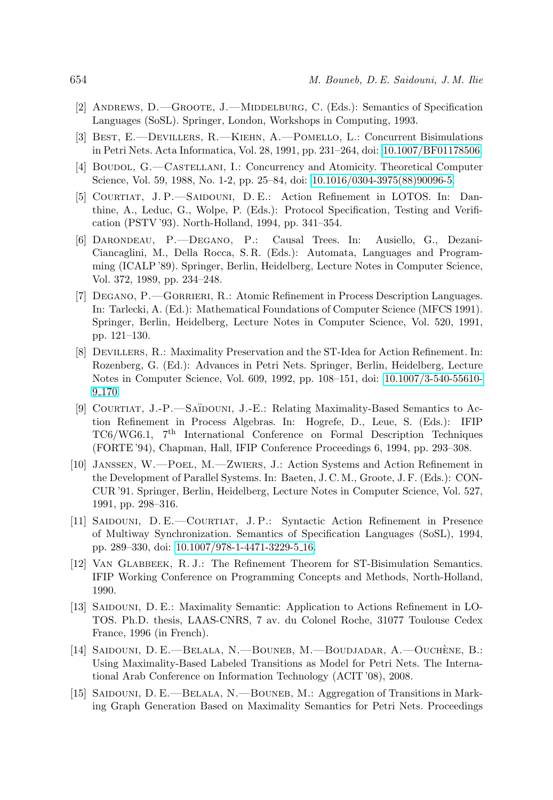- <span id="page-19-0"></span>[2] ANDREWS, D.—GROOTE, J.—MIDDELBURG, C. (Eds.): Semantics of Specification Languages (SoSL). Springer, London, Workshops in Computing, 1993.
- <span id="page-19-1"></span>[3] Best, E.—Devillers, R.—Kiehn, A.—Pomello, L.: Concurrent Bisimulations in Petri Nets. Acta Informatica, Vol. 28, 1991, pp. 231–264, doi: [10.1007/BF01178506.](https://doi.org/10.1007/BF01178506)
- <span id="page-19-2"></span>[4] Boudol, G.—Castellani, I.: Concurrency and Atomicity. Theoretical Computer Science, Vol. 59, 1988, No. 1-2, pp. 25–84, doi: [10.1016/0304-3975\(88\)90096-5.](https://doi.org/10.1016/0304-3975(88)90096-5)
- <span id="page-19-3"></span>[5] Courtiat, J. P.—Saidouni, D. E.: Action Refinement in LOTOS. In: Danthine, A., Leduc, G., Wolpe, P. (Eds.): Protocol Specification, Testing and Verification (PSTV '93). North-Holland, 1994, pp. 341–354.
- <span id="page-19-4"></span>[6] Darondeau, P.—Degano, P.: Causal Trees. In: Ausiello, G., Dezani-Ciancaglini, M., Della Rocca, S. R. (Eds.): Automata, Languages and Programming (ICALP '89). Springer, Berlin, Heidelberg, Lecture Notes in Computer Science, Vol. 372, 1989, pp. 234–248.
- <span id="page-19-5"></span>[7] Degano, P.—Gorrieri, R.: Atomic Refinement in Process Description Languages. In: Tarlecki, A. (Ed.): Mathematical Foundations of Computer Science (MFCS 1991). Springer, Berlin, Heidelberg, Lecture Notes in Computer Science, Vol. 520, 1991, pp. 121–130.
- <span id="page-19-6"></span>[8] Devillers, R.: Maximality Preservation and the ST-Idea for Action Refinement. In: Rozenberg, G. (Ed.): Advances in Petri Nets. Springer, Berlin, Heidelberg, Lecture Notes in Computer Science, Vol. 609, 1992, pp. 108–151, doi: [10.1007/3-540-55610-](https://doi.org/10.1007/3-540-55610-9_170) 9 [170.](https://doi.org/10.1007/3-540-55610-9_170)
- <span id="page-19-7"></span>[9] Courtiat, J.-P.—Sa¨ıdouni, J.-E.: Relating Maximality-Based Semantics to Action Refinement in Process Algebras. In: Hogrefe, D., Leue, S. (Eds.): IFIP TC6/WG6.1, 7th International Conference on Formal Description Techniques (FORTE '94), Chapman, Hall, IFIP Conference Proceedings 6, 1994, pp. 293–308.
- <span id="page-19-8"></span>[10] Janssen, W.—Poel, M.—Zwiers, J.: Action Systems and Action Refinement in the Development of Parallel Systems. In: Baeten, J. C. M., Groote, J. F. (Eds.): CON-CUR '91. Springer, Berlin, Heidelberg, Lecture Notes in Computer Science, Vol. 527, 1991, pp. 298–316.
- <span id="page-19-9"></span>[11] Saidouni, D. E.—Courtiat, J. P.: Syntactic Action Refinement in Presence of Multiway Synchronization. Semantics of Specification Languages (SoSL), 1994, pp. 289–330, doi: [10.1007/978-1-4471-3229-5](https://doi.org/10.1007/978-1-4471-3229-5_16) 16.
- <span id="page-19-10"></span>[12] Van Glabbeek, R. J.: The Refinement Theorem for ST-Bisimulation Semantics. IFIP Working Conference on Programming Concepts and Methods, North-Holland, 1990.
- <span id="page-19-11"></span>[13] Saidouni, D. E.: Maximality Semantic: Application to Actions Refinement in LO-TOS. Ph.D. thesis, LAAS-CNRS, 7 av. du Colonel Roche, 31077 Toulouse Cedex France, 1996 (in French).
- <span id="page-19-12"></span>[14] SAIDOUNI, D. E.—BELALA, N.—BOUNEB, M.—BOUDJADAR, A.—OUCHÈNE, B.: Using Maximality-Based Labeled Transitions as Model for Petri Nets. The International Arab Conference on Information Technology (ACIT '08), 2008.
- <span id="page-19-13"></span>[15] SAIDOUNI, D. E.—BELALA, N.—BOUNEB, M.: Aggregation of Transitions in Marking Graph Generation Based on Maximality Semantics for Petri Nets. Proceedings